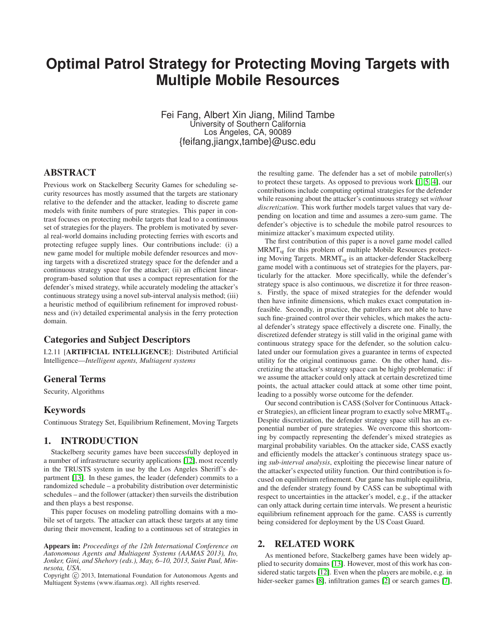# **Optimal Patrol Strategy for Protecting Moving Targets with Multiple Mobile Resources**

Fei Fang, Albert Xin Jiang, Milind Tambe University of Southern California Los Angeles, CA, 90089 {feifang,jiangx,tambe}@usc.edu

# ABSTRACT

Previous work on Stackelberg Security Games for scheduling security resources has mostly assumed that the targets are stationary relative to the defender and the attacker, leading to discrete game models with finite numbers of pure strategies. This paper in contrast focuses on protecting mobile targets that lead to a continuous set of strategies for the players. The problem is motivated by several real-world domains including protecting ferries with escorts and protecting refugee supply lines. Our contributions include: (i) a new game model for multiple mobile defender resources and moving targets with a discretized strategy space for the defender and a continuous strategy space for the attacker; (ii) an efficient linearprogram-based solution that uses a compact representation for the defender's mixed strategy, while accurately modeling the attacker's continuous strategy using a novel sub-interval analysis method; (iii) a heuristic method of equilibrium refinement for improved robustness and (iv) detailed experimental analysis in the ferry protection domain.

## Categories and Subject Descriptors

I.2.11 [ARTIFICIAL INTELLIGENCE]: Distributed Artificial Intelligence—*Intelligent agents, Multiagent systems*

## General Terms

Security, Algorithms

## Keywords

Continuous Strategy Set, Equilibrium Refinement, Moving Targets

# 1. INTRODUCTION

Stackelberg security games have been successfully deployed in a number of infrastructure security applications [\[12\]](#page-7-0), most recently in the TRUSTS system in use by the Los Angeles Sheriff's department [\[13\]](#page-7-1). In these games, the leader (defender) commits to a randomized schedule – a probability distribution over deterministic schedules – and the follower (attacker) then surveils the distribution and then plays a best response.

This paper focuses on modeling patrolling domains with a mobile set of targets. The attacker can attack these targets at any time during their movement, leading to a continuous set of strategies in

Appears in: *Proceedings of the 12th International Conference on Autonomous Agents and Multiagent Systems (AAMAS 2013), Ito, Jonker, Gini, and Shehory (eds.), May, 6–10, 2013, Saint Paul, Minnesota, USA.*

Copyright (C) 2013, International Foundation for Autonomous Agents and Multiagent Systems (www.ifaamas.org). All rights reserved.

the resulting game. The defender has a set of mobile patroller(s) to protect these targets. As opposed to previous work [\[1,](#page-7-2) [5,](#page-7-3) [4\]](#page-7-4), our contributions include computing optimal strategies for the defender while reasoning about the attacker's continuous strategy set *without discretization*. This work further models target values that vary depending on location and time and assumes a zero-sum game. The defender's objective is to schedule the mobile patrol resources to minimize attacker's maximum expected utility.

The first contribution of this paper is a novel game model called MRMTsg for this problem of multiple Mobile Resources protecting Moving Targets. MRMT<sub>sg</sub> is an attacker-defender Stackelberg game model with a continuous set of strategies for the players, particularly for the attacker. More specifically, while the defender's strategy space is also continuous, we discretize it for three reasons. Firstly, the space of mixed strategies for the defender would then have infinite dimensions, which makes exact computation infeasible. Secondly, in practice, the patrollers are not able to have such fine-grained control over their vehicles, which makes the actual defender's strategy space effectively a discrete one. Finally, the discretized defender strategy is still valid in the original game with continuous strategy space for the defender, so the solution calculated under our formulation gives a guarantee in terms of expected utility for the original continuous game. On the other hand, discretizing the attacker's strategy space can be highly problematic: if we assume the attacker could only attack at certain descretized time points, the actual attacker could attack at some other time point, leading to a possibly worse outcome for the defender.

Our second contribution is CASS (Solver for Continuous Attacker Strategies), an efficient linear program to exactly solve MRMT<sub>sg</sub>. Despite discretization, the defender strategy space still has an exponential number of pure strategies. We overcome this shortcoming by compactly representing the defender's mixed strategies as marginal probability variables. On the attacker side, CASS exactly and efficiently models the attacker's continuous strategy space using *sub-interval analysis*, exploiting the piecewise linear nature of the attacker's expected utility function. Our third contribution is focused on equilibrium refinement. Our game has multiple equilibria, and the defender strategy found by CASS can be suboptimal with respect to uncertainties in the attacker's model, e.g., if the attacker can only attack during certain time intervals. We present a heuristic equilibrium refinement approach for the game. CASS is currently being considered for deployment by the US Coast Guard.

# 2. RELATED WORK

As mentioned before, Stackelberg games have been widely applied to security domains [\[13\]](#page-7-1). However, most of this work has considered static targets [\[12\]](#page-7-0). Even when the players are mobile, e.g. in hider-seeker games [\[8\]](#page-7-5), infiltration games [\[2\]](#page-7-6) or search games [\[7\]](#page-7-7),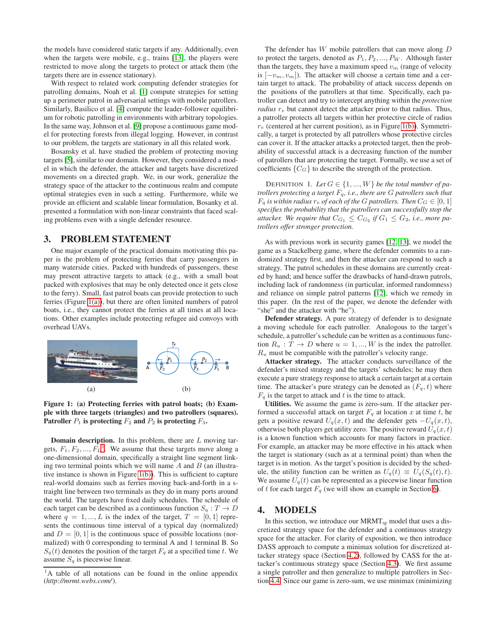the models have considered static targets if any. Additionally, even when the targets were mobile, e.g., trains [\[13\]](#page-7-1), the players were restricted to move along the targets to protect or attack them (the targets there are in essence stationary).

With respect to related work computing defender strategies for patrolling domains, Noah et al. [\[1\]](#page-7-2) compute strategies for setting up a perimeter patrol in adversarial settings with mobile patrollers. Similarly, Basilico et al. [\[4\]](#page-7-4) compute the leader-follower equilibrium for robotic patrolling in environments with arbitrary topologies. In the same way, Johnson et al. [\[9\]](#page-7-8) propose a continuous game model for protecting forests from illegal logging. However, in contrast to our problem, the targets are stationary in all this related work.

Bosansky et al. have studied the problem of protecting moving targets [\[5\]](#page-7-3), similar to our domain. However, they considered a model in which the defender, the attacker and targets have discretized movements on a directed graph. We, in our work, generalize the strategy space of the attacker to the continuous realm and compute optimal strategies even in such a setting. Furthermore, while we provide an efficient and scalable linear formulation, Bosanky et al. presented a formulation with non-linear constraints that faced scaling problems even with a single defender resource.

## 3. PROBLEM STATEMENT

One major example of the practical domains motivating this paper is the problem of protecting ferries that carry passengers in many waterside cities. Packed with hundreds of passengers, these may present attractive targets to attack (e.g., with a small boat packed with explosives that may be only detected once it gets close to the ferry). Small, fast patrol boats can provide protection to such ferries (Figure [1\(a\)\)](#page-1-0), but there are often limited numbers of patrol boats, i.e., they cannot protect the ferries at all times at all locations. Other examples include protecting refugee aid convoys with overhead UAVs.

<span id="page-1-0"></span>

<span id="page-1-2"></span>Figure 1: (a) Protecting ferries with patrol boats; (b) Example with three targets (triangles) and two patrollers (squares). Patroller  $P_1$  is protecting  $F_2$  and  $P_2$  is protecting  $F_3$ .

**Domain description.** In this problem, there are  $L$  moving targets,  $F_1, F_2, ..., F_L$  $F_1, F_2, ..., F_L$  $F_1, F_2, ..., F_L$ <sup>1</sup>. We assume that these targets move along a one-dimensional domain, specifically a straight line segment linking two terminal points which we will name  $A$  and  $B$  (an illustrative instance is shown in Figure [1\(b\)\)](#page-1-2). This is sufficient to capture real-world domains such as ferries moving back-and-forth in a straight line between two terminals as they do in many ports around the world. The targets have fixed daily schedules. The schedule of each target can be described as a continuous function  $S_q: T \to D$ where  $q = 1, ..., L$  is the index of the target,  $T = [0, 1]$  represents the continuous time interval of a typical day (normalized) and  $D = [0, 1]$  is the continuous space of possible locations (normalized) with 0 corresponding to terminal A and 1 terminal B. So  $S_q(t)$  denotes the position of the target  $F_q$  at a specified time t. We assume  $S_q$  is piecewise linear.

The defender has  $W$  mobile patrollers that can move along  $D$ to protect the targets, denoted as  $P_1, P_2, ..., P_W$ . Although faster than the targets, they have a maximum speed  $v_m$  (range of velocity is  $[-v_m, v_m]$ ). The attacker will choose a certain time and a certain target to attack. The probability of attack success depends on the positions of the patrollers at that time. Specifically, each patroller can detect and try to intercept anything within the *protection radius*  $r_e$  but cannot detect the attacker prior to that radius. Thus, a patroller protects all targets within her protective circle of radius  $r_e$  (centered at her current position), as in Figure [1\(b\)\)](#page-1-2). Symmetrically, a target is protected by all patrollers whose protective circles can cover it. If the attacker attacks a protected target, then the probability of successful attack is a decreasing function of the number of patrollers that are protecting the target. Formally, we use a set of coefficients  ${C_G}$  to describe the strength of the protection.

DEFINITION 1. Let  $G \in \{1, ..., W\}$  be the total number of pa*trollers protecting a target* Fq*, i.e., there are* G *patrollers such that*  $F_q$  *is within radius*  $r_e$  *of each of the G patrollers. Then*  $C_G \in [0, 1]$ *specifies the probability that the patrollers can successfully stop the* attacker. We require that  $C_{G_1} \leq C_{G_2}$  if  $G_1 \leq G_2$ , i.e., more pa*trollers offer stronger protection.*

As with previous work in security games [\[12,](#page-7-0) [13\]](#page-7-1), we model the game as a Stackelberg game, where the defender commits to a randomized strategy first, and then the attacker can respond to such a strategy. The patrol schedules in these domains are currently created by hand; and hence suffer the drawbacks of hand-drawn patrols, including lack of randomness (in particular, informed randomness) and reliance on simple patrol patterns [\[12\]](#page-7-0), which we remedy in this paper. (In the rest of the paper, we denote the defender with "she" and the attacker with "he").

Defender strategy. A pure strategy of defender is to designate a moving schedule for each patroller. Analogous to the target's schedule, a patroller's schedule can be written as a continuous function  $R_u : T \to D$  where  $u = 1, ..., W$  is the index the patroller.  $R_u$  must be compatible with the patroller's velocity range.

Attacker strategy. The attacker conducts surveillance of the defender's mixed strategy and the targets' schedules; he may then execute a pure strategy response to attack a certain target at a certain time. The attacker's pure strategy can be denoted as  $(F_q, t)$  where  $F_q$  is the target to attack and t is the time to attack.

Utilities. We assume the game is zero-sum. If the attacker performed a successful attack on target  $F_q$  at location x at time t, he gets a positive reward  $U_q(x, t)$  and the defender gets  $-U_q(x, t)$ , otherwise both players get utility zero. The positive reward  $U_q(x, t)$ is a known function which accounts for many factors in practice. For example, an attacker may be more effective in his attack when the target is stationary (such as at a terminal point) than when the target is in motion. As the target's position is decided by the schedule, the utility function can be written as  $U_q(t) \equiv U_q(S_q(t), t)$ . We assume  $U_q(t)$  can be represented as a piecewise linear function of t for each target  $F_q$  (we will show an example in Section [6\)](#page-6-0).

# 4. MODELS

In this section, we introduce our  $M\text{RMT}_{sg}$  model that uses a discretized strategy space for the defender and a continuous strategy space for the attacker. For clarity of exposition, we then introduce DASS approach to compute a minimax solution for discretized attacker strategy space (Section [4.2\)](#page-2-0), followed by CASS for the attacker's continuous strategy space (Section [4.3\)](#page-3-0). We first assume a single patroller and then generalize to multiple patrollers in Section [4.4.](#page-4-0) Since our game is zero-sum, we use minimax (minimizing

<span id="page-1-1"></span><sup>&</sup>lt;sup>1</sup>A table of all notations can be found in the online appendix (*http://mrmt.webs.com/*).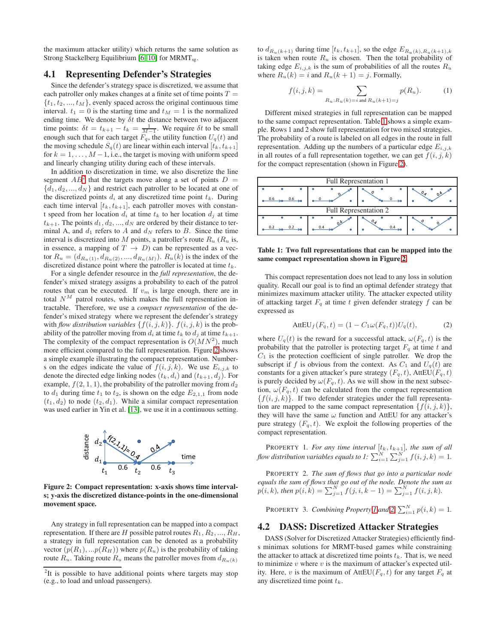the maximum attacker utility) which returns the same solution as Strong Stackelberg Equilibrium [\[6,](#page-7-9) [10\]](#page-7-10) for  $MRMT_{sg}$ .

#### 4.1 Representing Defender's Strategies

Since the defender's strategy space is discretized, we assume that each patroller only makes changes at a finite set of time points  $T =$  $\{t_1, t_2, ..., t_M\}$ , evenly spaced across the original continuous time interval.  $t_1 = 0$  is the starting time and  $t_M = 1$  is the normalized ending time. We denote by  $\delta t$  the distance between two adjacent time points:  $\delta t = t_{k+1} - t_k = \frac{1}{M-1}$ . We require  $\delta t$  to be small enough such that for each target  $F_q$ , the utility function  $U_q(t)$  and the moving schedule  $S_q(t)$  are linear within each interval  $[t_k, t_{k+1}]$ for  $k = 1, \ldots, M-1$ , i.e., the target is moving with uniform speed and linearly changing utility during each of these intervals.

In addition to discretization in time, we also discretize the line segment  $AB^2$  $AB^2$  that the targets move along a set of points  $D =$  $\{d_1, d_2, ..., d_N\}$  and restrict each patroller to be located at one of the discretized points  $d_i$  at any discretized time point  $t_k$ . During each time interval  $[t_k, t_{k+1}]$ , each patroller moves with constant speed from her location  $d_i$  at time  $t_k$  to her location  $d_i$  at time  $t_{k+1}$ . The points  $d_1, d_2, ..., d_N$  are ordered by their distance to terminal A, and  $d_1$  refers to A and  $d_N$  refers to B. Since the time interval is discretized into M points, a patroller's route  $R_u$  ( $R_u$  is, in essence, a mapping of  $T \rightarrow D$ ) can be represented as a vector  $R_u = (d_{R_u(1)}, d_{R_u(2)}, ..., d_{R_u(M)})$ .  $R_u(k)$  is the index of the discretized distance point where the patroller is located at time  $t_k$ .

For a single defender resource in the *full representation*, the defender's mixed strategy assigns a probability to each of the patrol routes that can be executed. If  $v_m$  is large enough, there are in total  $N^M$  patrol routes, which makes the full representation intractable. Therefore, we use a *compact representation* of the defender's mixed strategy where we represent the defender's strategy with *flow distribution variables*  $\{f(i, j, k)\}$ .  $f(i, j, k)$  is the probability of the patroller moving from  $d_i$  at time  $t_k$  to  $d_j$  at time  $t_{k+1}$ . The complexity of the compact representation is  $O(MN^2)$ , much more efficient compared to the full representation. Figure [2](#page-2-2) shows a simple example illustrating the compact representation. Numbers on the edges indicate the value of  $f(i, j, k)$ . We use  $E_{i,j,k}$  to denote the directed edge linking nodes  $(t_k, d_i)$  and  $(t_{k+1}, d_j)$ . For example,  $f(2, 1, 1)$ , the probability of the patroller moving from  $d_2$ to  $d_1$  during time  $t_1$  to  $t_2$ , is shown on the edge  $E_{2,1,1}$  from node  $(t_1, d_2)$  to node  $(t_2, d_1)$ . While a similar compact representation was used earlier in Yin et al. [\[13\]](#page-7-1), we use it in a continuous setting.



<span id="page-2-2"></span>Figure 2: Compact representation: x-axis shows time intervals; y-axis the discretized distance-points in the one-dimensional movement space.

Any strategy in full representation can be mapped into a compact representation. If there are H possible patrol routes  $R_1, R_2, ..., R_H$ , a strategy in full representation can be denoted as a probability vector  $(p(R_1), \ldots p(R_H))$  where  $p(R_u)$  is the probability of taking route  $R_u$ . Taking route  $R_u$  means the patroller moves from  $d_{R_u(k)}$ 

to  $d_{R_u(k+1)}$  during time  $[t_k, t_{k+1}]$ , so the edge  $E_{R_u(k),R_u(k+1),k}$ is taken when route  $R_u$  is chosen. Then the total probability of taking edge  $E_{i,j,k}$  is the sum of probabilities of all the routes  $R_u$ where  $R_u(k) = i$  and  $R_u(k + 1) = j$ . Formally,

<span id="page-2-8"></span>
$$
f(i, j, k) = \sum_{R_u: R_u(k) = i \text{ and } R_u(k+1) = j} p(R_u).
$$
 (1)

Different mixed strategies in full representation can be mapped to the same compact representation. Table [1](#page-2-3) shows a simple example. Rows 1 and 2 show full representation for two mixed strategies. The probability of a route is labeled on all edges in the route in full representation. Adding up the numbers of a particular edge  $E_{i,j,k}$ in all routes of a full representation together, we can get  $f(i, j, k)$ for the compact representation (shown in Figure [2\)](#page-2-2).



<span id="page-2-3"></span>Table 1: Two full representations that can be mapped into the same compact representation shown in Figure [2.](#page-2-2)

This compact representation does not lead to any loss in solution quality. Recall our goal is to find an optimal defender strategy that minimizes maximum attacker utility. The attacker expected utility of attacking target  $F_q$  at time t given defender strategy f can be expressed as

<span id="page-2-6"></span>
$$
AttEU_f(F_q, t) = (1 - C_1 \omega(F_q, t))U_q(t), \tag{2}
$$

where  $U_q(t)$  is the reward for a successful attack,  $\omega(F_q, t)$  is the probability that the patroller is protecting target  $F_q$  at time t and  $C_1$  is the protection coefficient of single patroller. We drop the subscript if f is obvious from the context. As  $C_1$  and  $U_q(t)$  are constants for a given attacker's pure strategy  $(F_q, t)$ , AttEU $(F_q, t)$ is purely decided by  $\omega(F_q, t)$ . As we will show in the next subsection,  $\omega(F_q, t)$  can be calculated from the compact representation  ${f(i, j, k)}$ . If two defender strategies under the full representation are mapped to the same compact representation  $\{f(i, j, k)\},\$ they will have the same  $\omega$  function and AttEU for any attacker's pure strategy  $(F_q, t)$ . We exploit the following properties of the compact representation.

<span id="page-2-4"></span>PROPERTY 1. For any time interval  $[t_k, t_{k+1}]$ , the sum of all flow distribution variables equals to 1:  $\sum_{i=1}^N\sum_{j=1}^N f(i,j,k) = 1.$ 

<span id="page-2-5"></span>PROPERTY 2. *The sum of flows that go into a particular node equals the sum of flows that go out of the node. Denote the sum as*  $p(i, k)$ , then  $p(i, k) = \sum_{j=1}^{N} f(j, i, k-1) = \sum_{j=1}^{N} f(i, j, k)$ .

<span id="page-2-7"></span>PROPERTY 3. *Combining Property [1](#page-2-4) and [2,](#page-2-5)*  $\sum_{i=1}^{N} p(i, k) = 1$ *.* 

## <span id="page-2-0"></span>4.2 DASS: Discretized Attacker Strategies

DASS (Solver for Discretized Attacker Strategies) efficiently finds minimax solutions for MRMT-based games while constraining the attacker to attack at discretized time points  $t_k$ . That is, we need to minimize  $v$  where  $v$  is the maximum of attacker's expected utility. Here, v is the maximum of AttEU( $F_q$ , t) for any target  $F_q$  at any discretized time point  $t_k$ .

<span id="page-2-1"></span><sup>&</sup>lt;sup>2</sup>It is possible to have additional points where targets may stop (e.g., to load and unload passengers).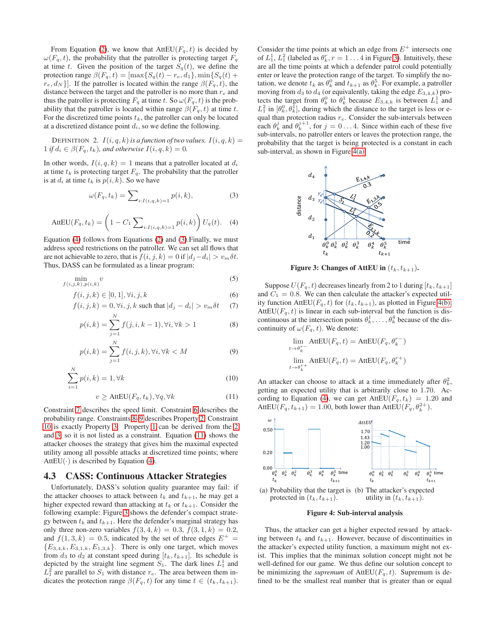From Equation [\(2\)](#page-2-6), we know that  $AttEU(F_q, t)$  is decided by  $\omega(F_q, t)$ , the probability that the patroller is protecting target  $F_q$ at time t. Given the position of the target  $S_q(t)$ , we define the protection range  $\beta(F_q, t) = [\max\{S_q(t) - r_e, d_1\}, \min\{S_q(t) +$  $r_e, d_N$  }. If the patroller is located within the range  $\beta(F_q, t)$ , the distance between the target and the patroller is no more than  $r_e$  and thus the patroller is protecting  $F_q$  at time t. So  $\omega(F_q, t)$  is the probability that the patroller is located within range  $\beta(F_q, t)$  at time t. For the discretized time points  $t_k$ , the patroller can only be located at a discretized distance point  $d_i$ , so we define the following.

DEFINITION 2.  $I(i, q, k)$  is a function of two values.  $I(i, q, k)$ 1 *if*  $d_i \in \beta(F_q, t_k)$ , and otherwise  $I(i, q, k) = 0$ .

In other words,  $I(i, q, k) = 1$  means that a patroller located at  $d_i$ at time  $t_k$  is protecting target  $F_q$ . The probability that the patroller is at  $d_i$  at time  $t_k$  is  $p(i, k)$ . So we have

<span id="page-3-2"></span>
$$
\omega(F_q, t_k) = \sum_{i: I(i,q,k)=1} p(i,k),\tag{3}
$$

<span id="page-3-1"></span>AttEU
$$
(F_q, t_k) = \left(1 - C_1 \sum_{i: I(i,q,k)=1} p(i,k)\right) U_q(t).
$$
 (4)

Equation [\(4\)](#page-3-1) follows from Equations [\(2\)](#page-2-6) and [\(3\)](#page-3-2).Finally, we must address speed restrictions on the patroller. We can set all flows that are not achievable to zero, that is  $f(i, j, k) = 0$  if  $|d_j - d_i| > v_m \delta t$ . Thus, DASS can be formulated as a linear program:

$$
\min_{f(i,j,k),p(i,k)} v \tag{5}
$$

$$
f(i, j, k) \in [0, 1], \forall i, j, k
$$
\n
$$
(6)
$$

$$
f(i, j, k) = 0, \forall i, j, k \text{ such that } |d_j - d_i| > v_m \delta t \quad (7)
$$

$$
p(i,k) = \sum_{j=1}^{N} f(j,i,k-1), \forall i, \forall k > 1
$$
 (8)

$$
p(i,k) = \sum_{j=1}^{N} f(i,j,k), \forall i, \forall k < M
$$
\n(9)

$$
\sum_{i=1}^{N} p(i,k) = 1, \forall k \tag{10}
$$

$$
v \ge \text{AttEU}(F_q, t_k), \forall q, \forall k \tag{11}
$$

Constraint [7](#page-3-3) describes the speed limit. Constraint [6](#page-3-4) describes the probability range. Constraints [8–](#page-3-5)[9](#page-3-6) describes Property [2.](#page-2-5) Constraint [10](#page-3-7) is exactly Property [3.](#page-2-7) Property [1](#page-2-4) can be derived from the [2](#page-2-5) and [3,](#page-2-7) so it is not listed as a constraint. Equation [\(11\)](#page-3-8) shows the attacker chooses the strategy that gives him the maximal expected utility among all possible attacks at discretized time points; where AttEU( $\cdot$ ) is described by Equation [\(4\)](#page-3-1).

#### <span id="page-3-0"></span>4.3 CASS: Continuous Attacker Strategies

Unfortunately, DASS's solution quality guarantee may fail: if the attacker chooses to attack between  $t_k$  and  $t_{k+1}$ , he may get a higher expected reward than attacking at  $t_k$  or  $t_{k+1}$ . Consider the following example: Figure [3](#page-3-9) shows the defender's compact strategy between  $t_k$  and  $t_{k+1}$ . Here the defender's marginal strategy has only three non-zero variables  $f(3, 4, k) = 0.3, f(3, 1, k) = 0.2$ , and  $f(1, 3, k) = 0.5$ , indicated by the set of three edges  $E^+$  =  ${E_{3,4,k}, E_{3,1,k}, E_{1,3,k}}$ . There is only one target, which moves from  $d_3$  to  $d_2$  at constant speed during  $[t_k, t_{k+1}]$ . Its schedule is depicted by the straight line segment  $S_1$ . The dark lines  $L_1^1$  and  $L_1^2$  are parallel to  $S_1$  with distance  $r_e$ . The area between them indicates the protection range  $\beta(F_q, t)$  for any time  $t \in (t_k, t_{k+1})$ .

Consider the time points at which an edge from  $E^+$  intersects one of  $L_1^1$ ,  $L_1^2$  (labeled as  $\theta_k^r$ ,  $r = 1 \dots 4$  in Figure [3\)](#page-3-9). Intuitively, these are all the time points at which a defender patrol could potentially enter or leave the protection range of the target. To simplify the notation, we denote  $t_k$  as  $\theta_k^0$  and  $t_{k+1}$  as  $\theta_k^5$ . For example, a patroller moving from  $d_3$  to  $d_4$  (or equivalently, taking the edge  $E_{3,4,k}$ ) protects the target from  $\theta_k^0$  to  $\theta_k^1$  because  $E_{3,4,k}$  is between  $L_1^1$  and  $L_1^2$  in  $[\theta_k^0, \theta_k^1]$ , during which the distance to the target is less or equal than protection radius  $r_e$ . Consider the sub-intervals between each  $\theta_k^j$  and  $\theta_k^{j+1}$ , for  $j = 0...4$ . Since within each of these five sub-intervals, no patroller enters or leaves the protection range, the probability that the target is being protected is a constant in each sub-interval, as shown in Figure [4\(a\).](#page-3-10)

<span id="page-3-12"></span>

<span id="page-3-9"></span>Figure 3: Changes of AttEU in  $(t_k, t_{k+1})$ .

<span id="page-3-5"></span><span id="page-3-4"></span><span id="page-3-3"></span>Suppose  $U(F_q, t)$  decreases linearly from 2 to 1 during  $[t_k, t_{k+1}]$ and  $C_1 = 0.8$ . We can then calculate the attacker's expected utility function AttEU( $F_q$ , t) for ( $t_k$ ,  $t_{k+1}$ ), as plotted in Figure [4\(b\).](#page-3-11) AttEU( $F_q$ , t) is linear in each sub-interval but the function is discontinuous at the intersection points  $\theta_k^1, \ldots, \theta_k^4$  because of the discontinuity of  $\omega(F_q, t)$ . We denote:

$$
\lim_{t \to \theta_k^{r-}} \text{AttEU}(F_q, t) = \text{AttEU}(F_q, \theta_k^{r-})
$$
\n
$$
\lim_{t \to \theta_k^{r+}} \text{AttEU}(F_q, t) = \text{AttEU}(F_q, \theta_k^{r+})
$$

<span id="page-3-8"></span><span id="page-3-7"></span><span id="page-3-6"></span>An attacker can choose to attack at a time immediately after  $\theta_k^2$ , getting an expected utility that is arbitrarily close to 1.70. Ac-cording to Equation [\(4\)](#page-3-1), we can get AttEU( $F_q$ ,  $t_k$ ) = 1.20 and AttEU( $F_q$ ,  $t_{k+1}$ ) = 1.00, both lower than AttEU( $F_q$ ,  $\theta_k^{2+}$ ).

<span id="page-3-10"></span>

<span id="page-3-11"></span>Figure 4: Sub-interval analysis

Thus, the attacker can get a higher expected reward by attacking between  $t_k$  and  $t_{k+1}$ . However, because of discontinuities in the attacker's expected utility function, a maximum might not exist. This implies that the minimax solution concept might not be well-defined for our game. We thus define our solution concept to be minimizing the *supremum* of  $AttEU(F_q, t)$ . Supremum is defined to be the smallest real number that is greater than or equal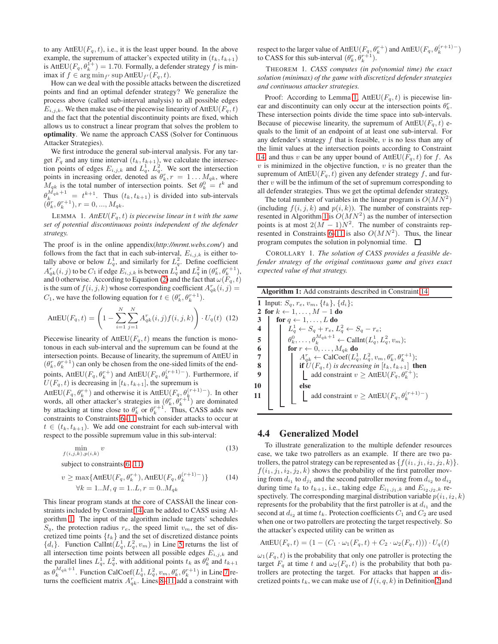to any AttEU( $F_q$ , t), i.e., it is the least upper bound. In the above example, the supremum of attacker's expected utility in  $(t_k, t_{k+1})$ is Att $EU(F_q, \theta_k^{1+}) = 1.70$ . Formally, a defender strategy f is minimax if  $f \in \arg \min_{f'} \sup \text{AttEU}_{f'}(F_q, t)$ .

How can we deal with the possible attacks between the discretized points and find an optimal defender strategy? We generalize the process above (called sub-interval analysis) to all possible edges  $E_{i,j,k}$ . We then make use of the piecewise linearity of AttEU( $F_q$ , t) and the fact that the potential discontinuity points are fixed, which allows us to construct a linear program that solves the problem to optimality. We name the approach CASS (Solver for Continuous Attacker Strategies).

We first introduce the general sub-interval analysis. For any target  $F_q$  and any time interval  $(t_k, t_{k+1})$ , we calculate the intersection points of edges  $E_{i,j,k}$  and  $L_q^1$ ,  $L_q^2$ . We sort the intersection points in increasing order, denoted as  $\theta_k^r$ ,  $r = 1...M_{qk}$ , where  $M_{qk}$  is the total number of intersection points. Set  $\theta_k^0 = t^k$  and  $\theta_k^{M_{qk}+1} = t^{k+1}$ . Thus  $(t_k, t_{k+1})$  is divided into sub-intervals  $(\ddot{\theta}_k^r, \theta_k^{r+1}), r = 0, ..., M_{qk}.$ 

<span id="page-4-7"></span>LEMMA 1.  $AttEU(F_q, t)$  *is piecewise linear in* t *with the same set of potential discontinuous points independent of the defender strategy.*

The proof is in the online appendix(*http://mrmt.webs.com/*) and follows from the fact that in each sub-interval,  $E_{i,j,k}$  is either totally above or below  $L_q^1$ , and similarly for  $L_q^2$ . Define coefficient  $A_{qk}^r(i,j)$  to be  $C_1$  if edge  $E_{i,j,k}$  is between  $L_q^1$  and  $L_q^2$  in  $(\theta_k^r, \theta_k^{r+1})$ , and 0 otherwise. According to Equation [\(2\)](#page-2-6) and the fact that  $\omega(F_q, t)$ is the sum of  $f(i, j, k)$  whose corresponding coefficient  $A_{qk}^r(i, j) =$  $C_1$ , we have the following equation for  $t \in (\theta_k^r, \theta_k^{r+1})$ .

$$
AttEU(F_q, t) = \left(1 - \sum_{i=1}^{N} \sum_{j=1}^{N} A_{qk}^r(i, j) f(i, j, k)\right) \cdot U_q(t) \tag{12}
$$

Piecewise linearity of AttEU( $F_q$ , t) means the function is monotonous in each sub-interval and the supremum can be found at the intersection points. Because of linearity, the supremum of AttEU in  $(\theta_k^r, \theta_k^{r+1})$  can only be chosen from the one-sided limits of the endpoints, AttEU( $F_q$ ,  $\theta_k^{r+}$ ) and AttEU( $F_q$ ,  $\theta_k^{(r+1)-}$ ). Furthermore, if  $U(F_q, t)$  is decreasing in  $[t_k, t_{k+1}]$ , the supremum is

AttEU( $F_q$ ,  $\theta_k^{r+1}$ ) and otherwise it is AttEU( $F_q$ ,  $\theta_k^{(r+1)-}$ ). In other words, all other attacker's strategies in  $(\theta_k^r, \theta_k^{r+1})$  are dominated by attacking at time close to  $\theta_k^r$  or  $\theta_k^{r+1}$ . Thus, CASS adds new constraints to Constraints [6](#page-3-4)[–11](#page-3-8) which consider attacks to occur at  $t \in (t_k, t_{k+1})$ . We add one constraint for each sub-interval with respect to the possible supremum value in this sub-interval:

$$
\min_{f(i,j,k),p(i,k)} v \tag{13}
$$

subject to constraints [\(6](#page-3-4)..[11\)](#page-3-8)

$$
v \ge \max\{ \text{AttEU}(F_q, \theta_k^{r+}), \text{AttEU}(F_q, \theta_k^{(r+1)-}) \} \tag{14}
$$
  

$$
\forall k = 1..M, q = 1..L, r = 0..M_{qk}
$$

This linear program stands at the core of CASSAll the linear constraints included by Constraint [14](#page-4-1) can be added to CASS using Algorithm [1.](#page-4-2) The input of the algorithm include targets' schedules  $S_q$ , the protection radius  $r_e$ , the speed limit  $v_m$ , the set of discretized time points  $\{t_k\}$  and the set of discretized distance points  ${d_i}$ . Function CalInt $(L_q^1, L_q^2, v_m)$  in Line [5](#page-4-3) returns the list of all intersection time points between all possible edges  $E_{i,j,k}$  and the parallel lines  $L_q^1$ ,  $L_q^2$ , with additional points  $t_k$  as  $\theta_k^0$  and  $t_{k+1}$ as  $\theta_k^{M_{qk}+1}$ . Function CalCoef $(L_q^1, L_q^2, v_m, \theta_k^r, \theta_k^{r+1})$  in Line [7](#page-4-4) returns the coefficient matrix  $A_{qk}^r$ . Lines [8](#page-4-5)[–11](#page-4-6) add a constraint with

respect to the larger value of  $\text{AttEU}(F_q, \theta_k^{r+})$  and  $\text{AttEU}(F_q, \theta_k^{(r+1)-})$ to CASS for this sub-interval  $(\theta_k^r, \theta_k^{r+1})$ .

THEOREM 1. *CASS computes (in polynomial time) the exact solution (minimax) of the game with discretized defender strategies and continuous attacker strategies.*

Proof: According to Lemma [1,](#page-4-7) AttEU( $F_q$ , t) is piecewise linear and discontinuity can only occur at the intersection points  $\theta_k^r$ . These intersection points divide the time space into sub-intervals. Because of piecewise linearity, the supremum of  $AttEU(F_q, t)$  equals to the limit of an endpoint of at least one sub-interval. For any defender's strategy  $f$  that is feasible,  $v$  is no less than any of the limit values at the intersection points according to Constraint [14,](#page-4-1) and thus v can be any upper bound of  $AttEU(F_q, t)$  for f. As  $v$  is minimized in the objective function,  $v$  is no greater than the supremum of AttEU( $F_q$ , t) given any defender strategy f, and further  $v$  will be the infimum of the set of supremum corresponding to all defender strategies. Thus we get the optimal defender strategy.

The total number of variables in the linear program is  $O(MN^2)$ (including  $f(i, j, k)$  and  $p(i, k)$ ). The number of constraints rep-resented in Algorithm [1](#page-4-2) is  $O(MN^2)$  as the number of intersection points is at most  $2(M-1)N^2$ . The number of constraints rep-resented in Constraints [6](#page-3-4)[–11](#page-3-8) is also  $O(MN^2)$ . Thus, the linear program computes the solution in polynomial time.  $\Box$ 

COROLLARY 1. *The solution of CASS provides a feasible defender strategy of the original continuous game and gives exact expected value of that strategy.*

<span id="page-4-4"></span><span id="page-4-3"></span><span id="page-4-2"></span>

| <b>Algorithm 1:</b> Add constraints described in Constraint 14 |                                                                                        |  |  |  |  |  |
|----------------------------------------------------------------|----------------------------------------------------------------------------------------|--|--|--|--|--|
| 1 Input: $S_q$ , $r_e$ , $v_m$ , $\{t_k\}$ , $\{d_i\}$ ;       |                                                                                        |  |  |  |  |  |
| 2 for $k \leftarrow 1, \ldots, M - 1$ do                       |                                                                                        |  |  |  |  |  |
| 3                                                              | for $q \leftarrow 1, \ldots, L$ do                                                     |  |  |  |  |  |
|                                                                | $L_a^1 \leftarrow S_a + r_e, L_a^2 \leftarrow S_a - r_e;$                              |  |  |  |  |  |
| 5 <sup>1</sup>                                                 | $\theta_k^0, \ldots, \theta_k^{M_{qk}+1} \leftarrow \text{Callnt}(L_q^1, L_q^2, v_m);$ |  |  |  |  |  |
|                                                                | for $r \leftarrow 0, \ldots, M_{qk}$ do                                                |  |  |  |  |  |
|                                                                | $A_{ak}^r \leftarrow \text{CalCoef}(L_a^1, L_a^2, v_m, \theta_k^r, \theta_k^{r+1});$   |  |  |  |  |  |
|                                                                | <b>if</b> $U(F_q, t)$ is decreasing in $[t_k, t_{k+1}]$ <b>then</b>                    |  |  |  |  |  |
|                                                                | add constraint $v \geq$ AttEU( $F_q$ , $\theta_k^{r+}$ );                              |  |  |  |  |  |
| 10                                                             | else                                                                                   |  |  |  |  |  |
| 11                                                             | add constraint $v \geq$ AttEU( $F_q$ , $\theta_k^{(r+1)-}$ )                           |  |  |  |  |  |
|                                                                |                                                                                        |  |  |  |  |  |

# <span id="page-4-6"></span><span id="page-4-5"></span><span id="page-4-0"></span>4.4 Generalized Model

<span id="page-4-1"></span>To illustrate generalization to the multiple defender resources case, we take two patrollers as an example. If there are two patrollers, the patrol strategy can be represented as  $\{f(i_1, j_1, i_2, j_2, k)\}.$  $f(i_1, j_1, i_2, j_2, k)$  shows the probability of the first patroller moving from  $d_{i_1}$  to  $d_{j_1}$  and the second patroller moving from  $d_{i_2}$  to  $d_{i_2}$ during time  $t_k$  to  $t_{k+1}$ , i.e., taking edge  $E_{i_1,j_1,k}$  and  $E_{i_2,j_2,k}$  respectively. The corresponding marginal distribution variable  $p(i_1, i_2, k)$ represents for the probability that the first patroller is at  $d_{i_1}$  and the second at  $d_{i_2}$  at time  $t_k$ . Protection coefficients  $C_1$  and  $C_2$  are used when one or two patrollers are protecting the target respectively. So the attacker's expected utility can be written as

$$
AttEU(F_q, t) = (1 - (C_1 \cdot \omega_1(F_q, t) + C_2 \cdot \omega_2(F_q, t))) \cdot U_q(t)
$$

 $\omega_1(F_q, t)$  is the probability that only one patroller is protecting the target  $F_q$  at time t and  $\omega_2(F_q, t)$  is the probability that both patrollers are protecting the target. For attacks that happen at discretized points  $t_k$ , we can make use of  $I(i, q, k)$  in Definition [2](#page-3-12) and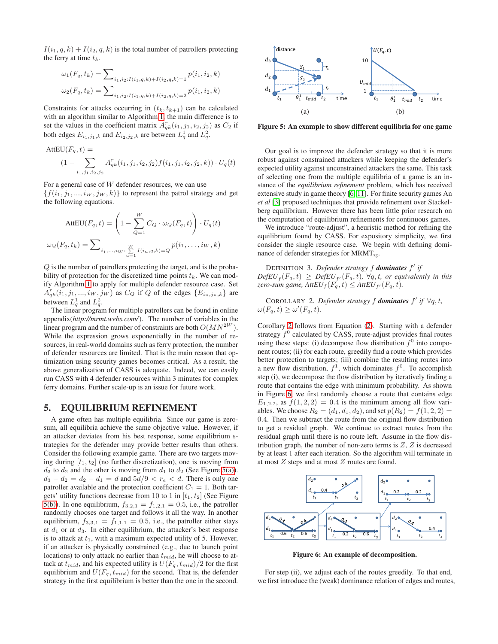$I(i_1, q, k) + I(i_2, q, k)$  is the total number of patrollers protecting the ferry at time  $t_k$ .

$$
\omega_1(F_q, t_k) = \sum_{i_1, i_2: I(i_1, q, k) + I(i_2, q, k) = 1} p(i_1, i_2, k)
$$

$$
\omega_2(F_q, t_k) = \sum_{i_1, i_2: I(i_1, q, k) + I(i_2, q, k) = 2} p(i_1, i_2, k)
$$

Constraints for attacks occurring in  $(t_k, t_{k+1})$  can be calculated with an algorithm similar to Algorithm [1,](#page-4-2) the main difference is to set the values in the coefficient matrix  $A_{qk}^r(i_1, j_1, i_2, j_2)$  as  $C_2$  if both edges  $E_{i_1,j_1,k}$  and  $E_{i_2,j_2,k}$  are between  $L_q^1$  and  $L_q^2$ .

AttEU
$$
(F_q, t)
$$
 =  
\n
$$
(1 - \sum_{i_1, j_1, i_2, j_2} A_{qk}^r(i_1, j_1, i_2, j_2) f(i_1, j_1, i_2, j_2, k)) \cdot U_q(t)
$$

For a general case of W defender resources, we can use  $\{f(i_1, j_1, \ldots, i_W, j_W, k)\}\$  to represent the patrol strategy and get the following equations.

$$
\text{AttEU}(F_q, t) = \left(1 - \sum_{Q=1}^W C_Q \cdot \omega_Q(F_q, t)\right) \cdot U_q(t)
$$

$$
\omega_Q(F_q, t_k) = \sum_{i_1, \dots, i_W: \sum_{u=1}^W I(i_u, q, k) = Q} p(i_1, \dots, i_W, k)
$$

Q is the number of patrollers protecting the target, and is the probability of protection for the discretized time points  $t_k$ . We can modify Algorithm [1](#page-4-2) to apply for multiple defender resource case. Set  $A_{qk}^r(i_1, j_1, \ldots, i_W, j_W)$  as  $C_Q$  if Q of the edges  $\{E_{i_u,j_u,k}\}\$  are between  $L_q^1$  and  $L_q^2$ .

The linear program for multiple patrollers can be found in online appendix(*http://mrmt.webs.com/*). The number of variables in the linear program and the number of constraints are both  $O(MN^{2W})$ . While the expression grows exponentially in the number of resources, in real-world domains such as ferry protection, the number of defender resources are limited. That is the main reason that optimization using security games becomes critical. As a result, the above generalization of CASS is adequate. Indeed, we can easily run CASS with 4 defender resources within 3 minutes for complex ferry domains. Further scale-up is an issue for future work.

## 5. EQUILIBRIUM REFINEMENT

A game often has multiple equilibria. Since our game is zerosum, all equilibria achieve the same objective value. However, if an attacker deviates from his best response, some equilibrium strategies for the defender may provide better results than others. Consider the following example game. There are two targets moving during  $[t_1, t_2]$  (no further discretization), one is moving from  $d_3$  to  $d_2$  and the other is moving from  $d_1$  to  $d_2$  (See Figure [5\(a\)\)](#page-5-0).  $d_3 - d_2 = d_2 - d_1 = d$  and  $5d/9 < r_e < d$ . There is only one patroller available and the protection coefficient  $C_1 = 1$ . Both targets' utility functions decrease from 10 to 1 in  $[t_1, t_2]$  (See Figure [5\(b\)\)](#page-5-1). In one equilibrium,  $f_{3,2,1} = f_{1,2,1} = 0.5$ , i.e., the patroller randomly chooses one target and follows it all the way. In another equilibrium,  $f_{3,3,1} = f_{1,1,1} = 0.5$ , i.e., the patroller either stays at  $d_1$  or at  $d_3$ . In either equilibrium, the attacker's best response is to attack at  $t_1$ , with a maximum expected utility of 5. However, if an attacker is physically constrained (e.g., due to launch point locations) to only attack no earlier than  $t_{mid}$ , he will choose to attack at  $t_{mid}$ , and his expected utility is  $U(F_q, t_{mid})/2$  for the first equilibrium and  $U(F_q, t_{mid})$  for the second. That is, the defender strategy in the first equilibrium is better than the one in the second.

<span id="page-5-0"></span>

<span id="page-5-1"></span>Figure 5: An example to show different equilibria for one game

Our goal is to improve the defender strategy so that it is more robust against constrained attackers while keeping the defender's expected utility against unconstrained attackers the same. This task of selecting one from the multiple equilibria of a game is an instance of the *equilibrium refinement* problem, which has received extensive study in game theory [\[6,](#page-7-9) [11\]](#page-7-11). For finite security games An *et al* [\[3\]](#page-7-12) proposed techniques that provide refinement over Stackelberg equilibrium. However there has been little prior research on the computation of equilibrium refinements for continuous games.

We introduce "route-adjust", a heuristic method for refining the equilibrium found by CASS. For expository simplicity, we first consider the single resource case. We begin with defining dominance of defender strategies for  $MRMT_{ss}$ .

DEFINITION 3. *Defender strategy* f *dominates* f ′ *if*  $DefEU_f(F_q,t) \geq DefEU_{f'}(F_q,t)$ ,  $\forall q,t$ , or equivalently in this *zero-sum game, AttEU*<sub>f</sub>( $F_q$ , t)  $\leq$  *AttEU*<sub>f</sub>( $F_q$ , t).

<span id="page-5-2"></span>COROLLARY 2. Defender strategy f **dominates**  $f'$  if  $\forall q, t$ ,  $\omega(F_q, t) \geq \omega'(F_q, t).$ 

Corollary [2](#page-5-2) follows from Equation [\(2\)](#page-2-6). Starting with a defender strategy  $f^0$  calculated by CASS, route-adjust provides final routes using these steps: (i) decompose flow distribution  $f^0$  into component routes; (ii) for each route, greedily find a route which provides better protection to targets; (iii) combine the resulting routes into a new flow distribution,  $f^1$ , which dominates  $f^0$ . To accomplish step (i), we decompose the flow distribution by iteratively finding a route that contains the edge with minimum probability. As shown in Figure [6,](#page-5-3) we first randomly choose a route that contains edge  $E_{1,2,2}$ , as  $f(1, 2, 2) = 0.4$  is the minimum among all flow variables. We choose  $R_2 = (d_1, d_1, d_2)$ , and set  $p(R_2) = f(1, 2, 2) =$ 0.4. Then we subtract the route from the original flow distribution to get a residual graph. We continue to extract routes from the residual graph until there is no route left. Assume in the flow distribution graph, the number of non-zero terms is  $Z$ ,  $Z$  is decreased by at least 1 after each iteration. So the algorithm will terminate in at most Z steps and at most Z routes are found.



<span id="page-5-3"></span>Figure 6: An example of decomposition.

For step (ii), we adjust each of the routes greedily. To that end, we first introduce the (weak) dominance relation of edges and routes,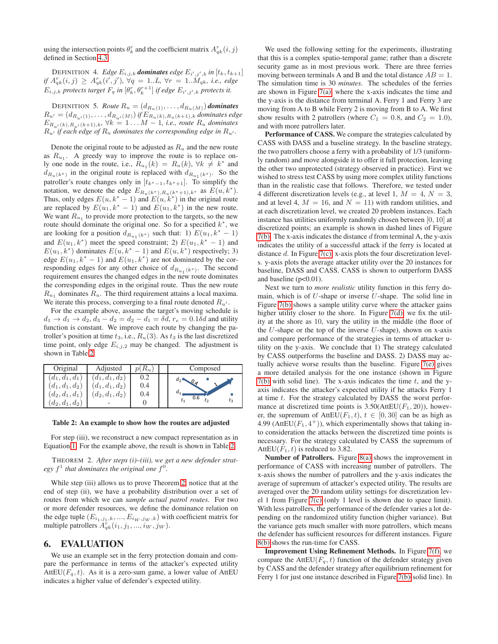using the intersection points  $\theta_k^r$  and the coefficient matrix  $A_{qk}^r(i, j)$ defined in Section [4.3.](#page-3-0)

DEFINITION 4. *Edge*  $E_{i,j,k}$  *dominates edge*  $E_{i',j',k}$  *in*  $[t_k, t_{k+1}]$ *if*  $A_{qk}^r(i,j) \geq A_{qk}^r(i',j'), \forall q = 1..L, \forall r = 1..M_{qk}, i.e., edge$  $E_{i,j,k}$  protects target  $F_q$  in  $[\theta^r_k, \theta^{r+1}_k]$  if edge  $E_{i',j',k}$  protects it.

DEFINITION 5. *Route*  $R_u = (d_{R_u(1)}, \ldots, d_{R_u(M)})$  *dominates*  $R_{u'} = (d_{R_{u'}(1)}, \ldots, d_{R_{u'}(M)})$  *if*  $E_{R_u(k), R_u(k+1), k}$  *dominates edge*  $E_{R_{u'}(k),R_{u'}(k+1),k}$ ,  $\forall k = 1...M-1$ , *i.e., route*  $R_u$  *dominates*  $R_{u'}$  *if each edge of*  $R_u$  *dominates the corresponding edge in*  $R_{u'}$ *.* 

Denote the original route to be adjusted as  $R_u$  and the new route as  $R_{u_1}$ . A greedy way to improve the route is to replace only one node in the route, i.e.,  $R_{u_1}(k) = R_u(k)$ ,  $\forall k \neq k^*$  and  $d_{R_u(k^*)}$  in the original route is replaced with  $d_{R_{u_1}(k^*)}$ . So the patroller's route changes only in  $[t_{k^*-1}, t_{k^*+1}]$ . To simplify the notation, we denote the edge  $E_{R_u(k^*),R_u(k^*+1),k^*}$  as  $E(u, k^*)$ . Thus, only edges  $E(u, k^* - 1)$  and  $E(u, k^*)$  in the original route are replaced by  $E(u_1, k^* - 1)$  and  $E(u_1, k^*)$  in the new route. We want  $R_{u_1}$  to provide more protection to the targets, so the new route should dominate the original one. So for a specified  $k^*$ , we are looking for a position  $d_{R_{u_1}(k^*)}$  such that: 1)  $E(u_1, k^* - 1)$ and  $E(u_1, k^*)$  meet the speed constraint; 2)  $E(u_1, k^* - 1)$  and  $E(u_1, k^*)$  dominates  $E(u, k^* - 1)$  and  $E(u, k^*)$  respectively; 3) edge  $E(u_1, k^* - 1)$  and  $E(u_1, k^*)$  are not dominated by the corresponding edges for any other choice of  $d_{R_{u_1}(k^*)}$ . The second requirement ensures the changed edges in the new route dominates the corresponding edges in the original route. Thus the new route  $R_{u_1}$  dominates  $R_u$ . The third requirement attains a local maxima. We iterate this process, converging to a final route denoted  $R_{u'}$ .

For the example above, assume the target's moving schedule is  $d_1 \rightarrow d_1 \rightarrow d_2$ ,  $d_3 - d_2 = d_2 - d_1 = \delta d$ ,  $r_e = 0.1\delta d$  and utility function is constant. We improve each route by changing the patroller's position at time  $t_3$ , i.e.,  $R_u(3)$ . As  $t_3$  is the last discretized time point, only edge  $E_{i,j,2}$  may be changed. The adjustment is shown in Table [2.](#page-6-1)

| Original                | Adjusted          | $p(R_u)$ | Composed                                  |
|-------------------------|-------------------|----------|-------------------------------------------|
| $(d_{1}, d_{1}, d_{1})$ | $(d_1, d_1, d_2)$ | 0.2      | $d_2$<br>$\overline{\phantom{a}}^{\,0\,}$ |
| $(d_{1}, d_{1}, d_{2})$ | $(d_1, d_1, d_2)$ | 0.4      |                                           |
| $(d_2,d_1,d_1)$         | $(d_2, d_1, d_2)$ | 0.4      | 0.6                                       |
| $(d_2,d_1,d_2)$         |                   |          |                                           |

<span id="page-6-1"></span>Table 2: An example to show how the routes are adjusted

For step (iii), we reconstruct a new compact representation as in Equation [1.](#page-2-8) For the example above, the result is shown in Table [2.](#page-6-1)

THEOREM 2. *After steps (i)–(iii), we get a new defender strat*egy  $f<sup>1</sup>$  that dominates the original one  $f<sup>0</sup>$ .

While step (iii) allows us to prove Theorem [2,](#page-6-2) notice that at the end of step (ii), we have a probability distribution over a set of routes from which we can *sample actual patrol routes*. For two or more defender resources, we define the dominance relation on the edge tuple  $(E_{i_1,j_1,k},...,E_{i_W,j_W,k})$  with coefficient matrix for multiple patrollers  $A_{qk}^r(i_1, j_1, ..., i_W, j_W)$ .

### <span id="page-6-0"></span>6. EVALUATION

We use an example set in the ferry protection domain and compare the performance in terms of the attacker's expected utility AttEU( $F_q$ , t). As it is a zero-sum game, a lower value of AttEU indicates a higher value of defender's expected utility.

We used the following setting for the experiments, illustrating that this is a complex spatio-temporal game; rather than a discrete security game as in most previous work. There are three ferries moving between terminals A and B and the total distance  $AB = 1$ . The simulation time is 30 *minutes*. The schedules of the ferries are shown in Figure  $7(a)$ , where the x-axis indicates the time and the y-axis is the distance from terminal A. Ferry 1 and Ferry 3 are moving from A to B while Ferry 2 is moving from B to A. We first show results with 2 patrollers (where  $C_1 = 0.8$ , and  $C_2 = 1.0$ ), and with more patrollers later.

Performance of CASS. We compare the strategies calculated by CASS with DASS and a baseline strategy. In the baseline strategy, the two patrollers choose a ferry with a probability of 1/3 (uniformly random) and move alongside it to offer it full protection, leaving the other two unprotected (strategy observed in practice). First we wished to stress test CASS by using more complex utility functions than in the realistic case that follows. Therefore, we tested under 4 different discretization levels (e.g., at level 1,  $M = 4$ ,  $N = 3$ , and at level 4,  $M = 16$ , and  $N = 11$ ) with random utilities, and at each discretization level, we created 20 problem instances. Each instance has utilities uniformly randomly chosen between [0, 10] at discretized points; an example is shown in dashed lines of Figure  $7(b)$ . The x-axis indicates the distance d from terminal A, the y-axis indicates the utility of a successful attack if the ferry is located at distance d. In Figure [7\(c\),](#page-7-15) x-axis plots the four discretization levels. y-axis plots the average attacker utility over the 20 instances for baseline, DASS and CASS. CASS is shown to outperform DASS and baseline ( $p<0.01$ ).

Next we turn to *more realistic* utility function in this ferry domain, which is of  $U$ -shape or inverse  $U$ -shape. The solid line in Figure [7\(b\)](#page-7-14) shows a sample utility curve where the attacker gains higher utility closer to the shore. In Figure [7\(d\),](#page-7-16) we fix the utility at the shore as 10, vary the utility in the middle (the floor of the  $U$ -shape or the top of the inverse  $U$ -shape), shown on x-axis and compare performance of the strategies in terms of attacker utility on the y-axis. We conclude that 1) The strategy calculated by CASS outperforms the baseline and DASS. 2) DASS may actually achieve worse results than the baseline. Figure [7\(e\)](#page-7-17) gives a more detailed analysis for the one instance (shown in Figure  $7(b)$  with solid line). The x-axis indicates the time t, and the yaxis indicates the attacker's expected utility if he attacks Ferry 1 at time  $t$ . For the strategy calculated by DASS the worst performance at discretized time points is  $3.50(AttEU(F_1, 20))$ , however, the supremum of AttEU( $F_1$ ,  $t$ ),  $t \in [0, 30]$  can be as high as 4.99 (AttEU( $F_1$ , 4<sup>+</sup>)), which experimentally shows that taking into consideration the attacks between the discretized time points is necessary. For the strategy calculated by CASS the supremum of AttEU( $F_1$ , t) is reduced to 3.82.

<span id="page-6-2"></span>Number of Patrollers. Figure [8\(a\)](#page-7-18) shows the improvement in performance of CASS with increasing number of patrollers. The x-axis shows the number of patrollers and the y-axis indicates the average of supremum of attacker's expected utility. The results are averaged over the 20 random utility settings for discretization level 1 from Figure [7\(c\)](#page-7-15) (only 1 level is shown due to space limit). With less patrollers, the performance of the defender varies a lot depending on the randomized utility function (higher variance). But the variance gets much smaller with more patrollers, which means the defender has sufficient resources for different instances. Figure [8\(b\)](#page-7-19) shows the run-time for CASS.

Improvement Using Refinement Methods. In Figure [7\(f\),](#page-7-20) we compare the AttEU( $F_a$ , t) function of the defender strategy given by CASS and the defender strategy after equilibrium refinement for Ferry 1 for just one instance described in Figure [7\(b\)\(](#page-7-14)solid line). In